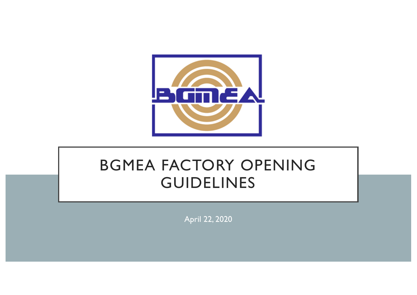

## BGMEA FACTORY OPENING GUIDELINES

April 22, 2020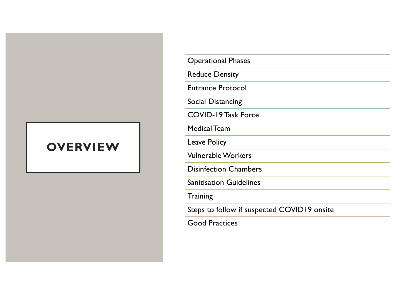## **OVERVIEW**

| <b>Operational Phases</b>                   |
|---------------------------------------------|
| <b>Reduce Density</b>                       |
| <b>Entrance Protocol</b>                    |
| <b>Social Distancing</b>                    |
| <b>COVID-19 Task Force</b>                  |
| <b>Medical Team</b>                         |
| <b>Leave Policy</b>                         |
| <b>Vulnerable Workers</b>                   |
| <b>Disinfection Chambers</b>                |
| <b>Sanitisation Guidelines</b>              |
| <b>Training</b>                             |
| Steps to follow if suspected COVID19 onsite |
|                                             |

Good Practices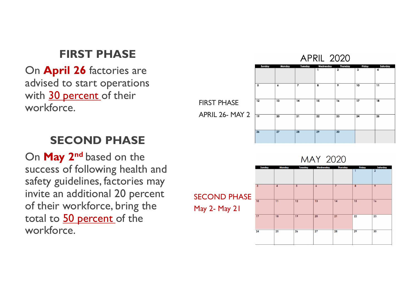## **FIRST PHASE**

On **April 26** factories are advised to start operations with 30 percent of their workforce.



## **SECOND PHASE**

On **May 2nd** based on the success of following health and safety guidelines, factories may invite an additional 20 percent of their workforce, bring the total to 50 percent of the workforce.

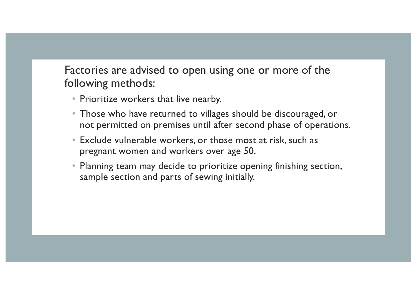Factories are advised to open using one or more of the following methods:

- Prioritize workers that live nearby.
- Those who have returned to villages should be discouraged, or not permitted on premises until after second phase of operations.
- Exclude vulnerable workers, or those most at risk, such as pregnant women and workers over age 50.
- Planning team may decide to prioritize opening finishing section, sample section and parts of sewing initially.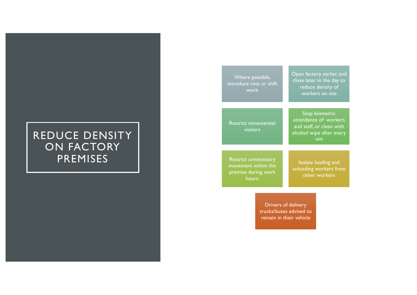## REDUCE DENSITY ON FACTORY PREMISES

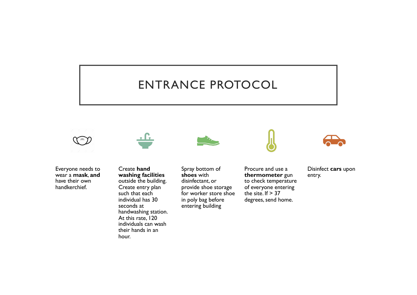## ENTRANCE PROTOCOL



Everyone needs to wear a **mask**, **and** have their own handkerchief.

Create **hand washing facilities**  outside the building. Create entry plan such that each individual has 30 seconds at handwashing station. At this rate, 120 individuals can wash their hands in an hour.



Spray bottom of **shoes** with disinfectant, or provide shoe storage for worker store shoe in poly bag before entering building



Procure and use a **thermometer** gun to check temperature of everyone entering the site. If  $> 37$ degrees, send home.



Disinfect **cars** upon entry.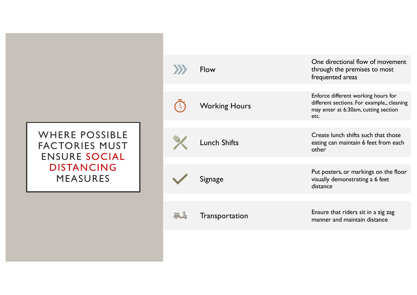WHERE POSSIBLE FACTORIES MUST ENSURE SOCIAL DISTANCING MEASURES

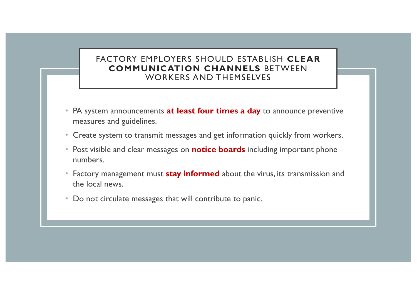#### FACTORY EMPLOYERS SHOULD ESTABLISH **CLEAR COMMUNICATION CHANNELS** BETWEEN WORKERS AND THEMSELVES

- PA system announcements **at least four times a day** to announce preventive measures and guidelines.
- Create system to transmit messages and get information quickly from workers.
- Post visible and clear messages on **notice boards** including important phone numbers.
- Factory management must **stay informed** about the virus, its transmission and the local news.
- Do not circulate messages that will contribute to panic.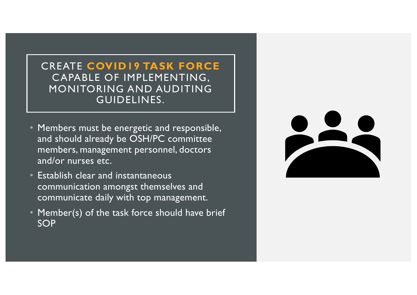CREATE **COVID19 TASK FORCE**  CAPABLE OF IMPLEMENTING, MONITORING AND AUDITING GUIDELINES.

- Members must be energetic and responsible, and should already be OSH/PC committee members, management personnel, doctors and/or nurses etc.
- Establish clear and instantaneous communication amongst themselves and communicate daily with top management.
- Member(s) of the task force should have brief SOP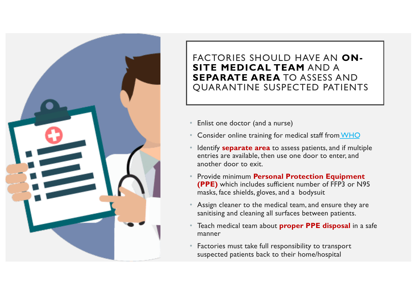

### FACTORIES SHOULD HAVE AN **ON-SITE MEDICAL TEAM** AND A **SEPARATE AREA** TO ASSESS AND QUARANTINE SUSPECTED PATIENTS

- Enlist one doctor (and a nurse)
- Consider online training for medical staff from [WHO](https://www.who.int/emergencies/diseases/novel-coronavirus-2019/training/online-training)
- Identify **separate area** to assess patients, and if multiple entries are available, then use one door to enter, and another door to exit.
- Provide minimum **Personal Protection Equipment (PPE)** which includes sufficient number of FFP3 or N95 masks, face shields, gloves, and a bodysuit
- Assign cleaner to the medical team, and ensure they are sanitising and cleaning all surfaces between patients.
- Teach medical team about **proper PPE disposal** in a safe manner
- Factories must take full responsibility to transport suspected patients back to their home/hospital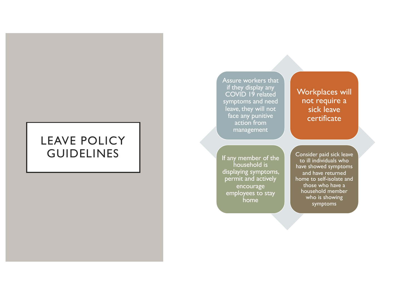## LEAVE POLICY GUIDELINES

Assure workers that if they display any COVID 19 related symptoms and need leave, they will not face any punitive action from management

#### Workplaces will not require a sick leave certificate

If any member of the household is displaying symptoms, permit and actively encourage employees to stay home

Consider paid sick leave to ill individuals who have showed symptoms and have returned home to self-isolate and those who have a household member who is showing symptoms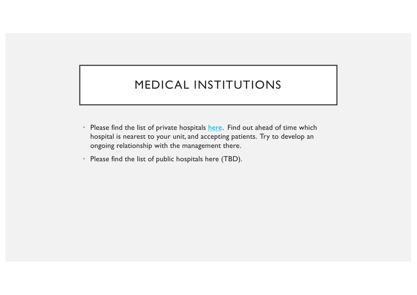## MEDICAL INSTITUTIONS

- Please find the list of private hospita[ls her](https://docs.google.com/spreadsheets/d/1qbQbjb-KrhWCI5t6BE94h2Fedoyd41wuZZbWA3AqjpM/edit%3Fusp=sharing)e. Find out ahead of time which hospital is nearest to your unit, and accepting patients. Try to develop an ongoing relationship with the management there.
- Please find the list of public hospitals here (TBD).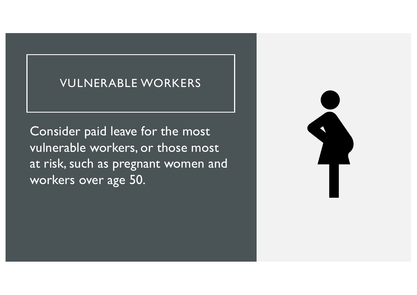## VULNERABLE WORKERS

Consider paid leave for the most vulnerable workers, or those most at risk, such as pregnant women and workers over age 50.

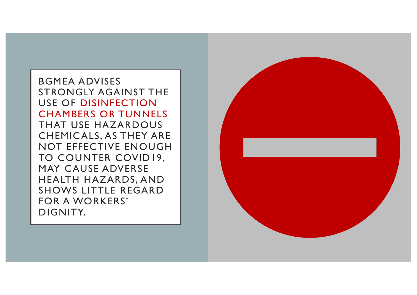BGMEA ADVISES STRONGLY AGAINST THE USE OF DISINFECTION CHAMBERS OR TUNNELS THAT USE HAZARDOUS CHEMICALS, AS THEY ARE NOT EFFECTIVE ENOUGH TO COUNTER COVID19, MAY CAUSE ADVERSE HEALTH HAZARDS, AND SHOWS LITTLE REGARD FOR A WORKERS' DIGNITY.

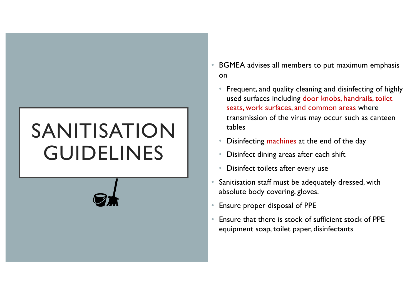# SANITISATION GUIDELINES



- BGMEA advises all members to put maximum emphasis on
	- Frequent, and quality cleaning and disinfecting of highly used surfaces including door knobs, handrails, toilet seats, work surfaces, and common areas where transmission of the virus may occur such as canteen tables
	- Disinfecting machines at the end of the day
	- Disinfect dining areas after each shift
	- Disinfect toilets after every use
- Sanitisation staff must be adequately dressed, with absolute body covering, gloves.
- Ensure proper disposal of PPE
- Ensure that there is stock of sufficient stock of PPE equipment soap, toilet paper, disinfectants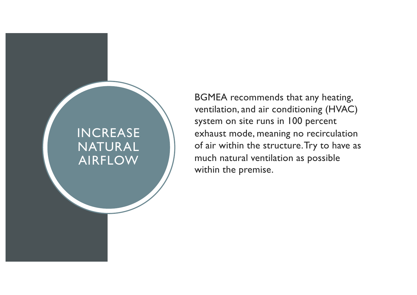## INCREASE NATURAL AIRFLOW

BGMEA recommends that any heating, ventilation, and air conditioning (HVAC) system on site runs in 100 percent exhaust mode, meaning no recirculation of air within the structure. Try to have as much natural ventilation as possible within the premise.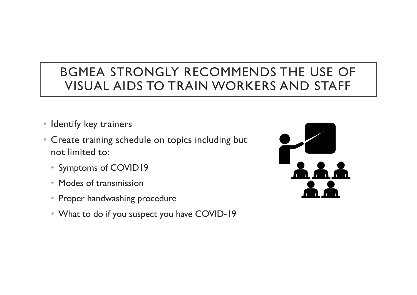## BGMEA STRONGLY RECOMMENDS THE USE OF VISUAL AIDS TO TRAIN WORKERS AND STAFF

- Identify key trainers
- Create training schedule on topics including but not limited to:
	- Symptoms of COVID19
	- Modes of transmission
	- Proper handwashing procedure
	- What to do if you suspect you have COVID-19

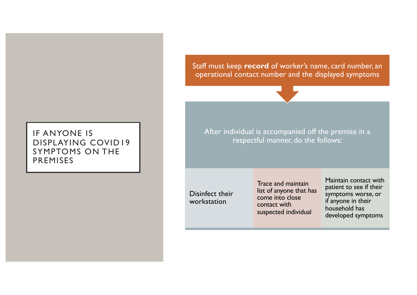#### IF ANYONE IS DISPLAYING COVID19 SYMPTOMS ON THE PREMISES

Staff must keep **record** of worker's name, card number, an operational contact number and the displayed symptoms



After individual is accompanied off the premise in a respectful manner, do the follows:

Disinfect their workstation

Trace and maintain list of anyone that has come into close contact with suspected individual

Maintain contact with patient to see if their symptoms worse, or if anyone in their household has developed symptoms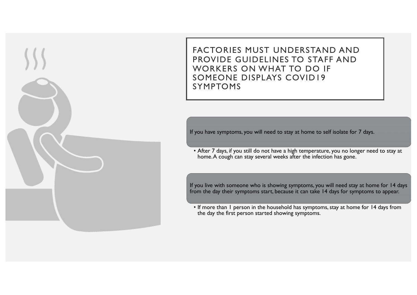FACTORIES MUST UNDERSTAND AND PROVIDE GUIDELINES TO STAFF AND WORKERS ON WHAT TO DO IF SOMEONE DISPLAYS COVID19 SYMPTOMS

If you have symptoms, you will need to stay at home to self isolate for 7 days.

• After 7 days, if you still do not have a high temperature, you no longer need to stay at home. A cough can stay several weeks after the infection has gone.

If you live with someone who is showing symptoms, you will need stay at home for 14 days from the day their symptoms start, because it can take 14 days for symptoms to appear.

• If more than 1 person in the household has symptoms, stay at home for 14 days from the day the first person started showing symptoms.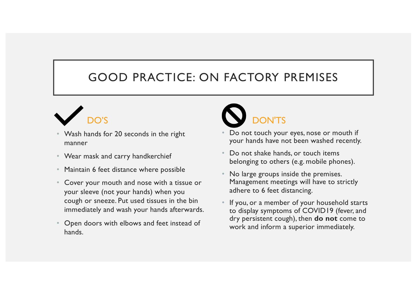## GOOD PRACTICE: ON FACTORY PREMISES



- Wash hands for 20 seconds in the right manner
- Wear mask and carry handkerchief
- Maintain 6 feet distance where possible
- Cover your mouth and nose with a tissue or your sleeve (not your hands) when you cough or sneeze. Put used tissues in the bin immediately and wash your hands afterwards.
- Open doors with elbows and feet instead of hands.



- Do not touch your eyes, nose or mouth if your hands have not been washed recently.
- Do not shake hands, or touch items belonging to others (e.g. mobile phones).
- No large groups inside the premises. Management meetings will have to strictly adhere to 6 feet distancing.
- If you, or a member of your household starts to display symptoms of COVID19 (fever, and dry persistent cough), then **do not** come to work and inform a superior immediately.